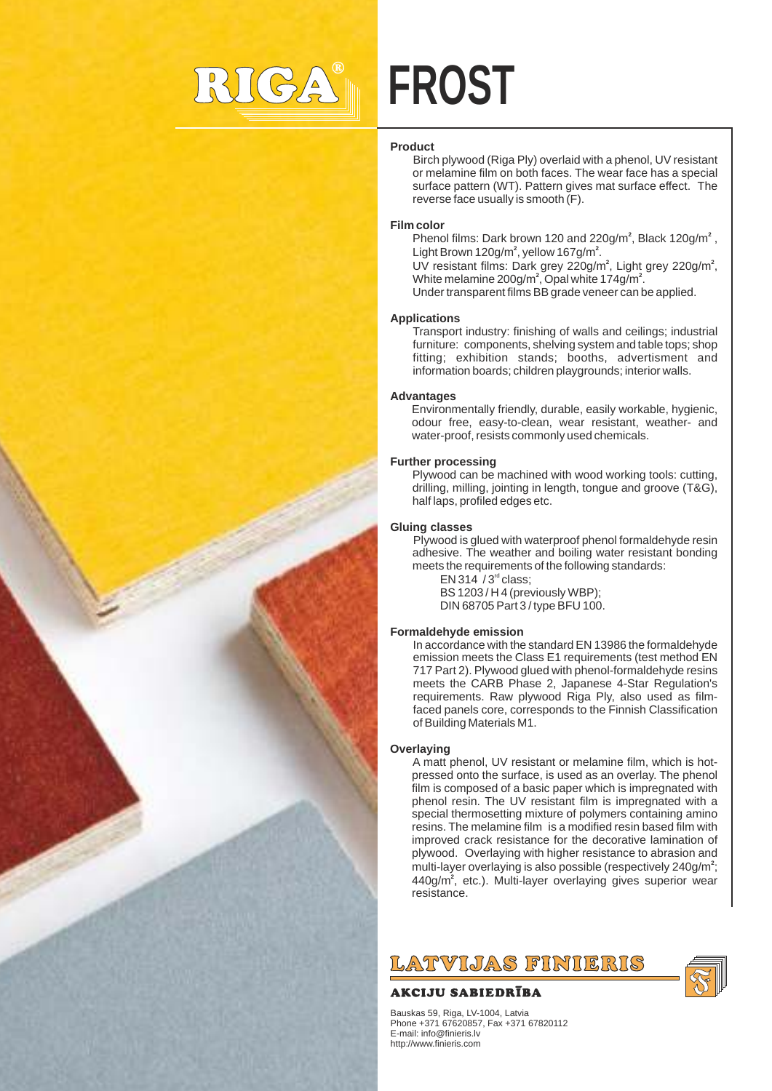

# **FROST**

## **Product**

Birch plywood (Riga Ply) overlaid with a phenol, UV resistant or melamine film on both faces. The wear face has a special surface pattern (WT). Pattern gives mat surface effect. The reverse face usually is smooth (F).

#### **Film color**

Phenol films: Dark brown 120 and 220g/m<sup>2</sup>, Black 120g/m<sup>2</sup>, Light Brown 120g/m<sup>2</sup>, yellow 167g/m<sup>2</sup>.

UV resistant films: Dark grey 220g/m<sup>2</sup>, Light grey 220g/m<sup>2</sup>, White melamine  $200q/m^2$ , Opal white  $174q/m^2$ .

Under transparent films BB grade veneer can be applied.

#### **Applications**

Transport industry: finishing of walls and ceilings; industrial furniture: components, shelving system and table tops; shop fitting; exhibition stands; booths, advertisment and information boards; children playgrounds; interior walls.

#### **Advantages**

Environmentally friendly, durable, easily workable, hygienic, odour free, easy-to-clean, wear resistant, weather- and water-proof, resists commonly used chemicals.

## **Further processing**

Plywood can be machined with wood working tools: cutting, drilling, milling, jointing in length, tongue and groove (T&G), half laps, profiled edges etc.

#### **Gluing classes**

Plywood is glued with waterproof phenol formaldehyde resin adhesive. The weather and boiling water resistant bonding meets the requirements of the following standards:

 $EN$  314  $/$  3<sup>rd</sup> class: BS 1203 / H 4 (previously WBP); DIN 68705 Part 3 / type BFU 100.

## **Formaldehyde emission**

In accordance with the standard EN 13986 the formaldehyde emission meets the Class E1 requirements (test method EN 717 Part 2). Plywood glued with phenol-formaldehyde resins meets the CARB Phase 2, Japanese 4-Star Regulation's requirements. Raw plywood Riga Ply, also used as filmfaced panels core, corresponds to the Finnish Classification of Building Materials M1.

#### **Overlaying**

A matt phenol, UV resistant or melamine film, which is hotpressed onto the surface, is used as an overlay. The phenol film is composed of a basic paper which is impregnated with phenol resin. The UV resistant film is impregnated with a special thermosetting mixture of polymers containing amino resins. The melamine film is a modified resin based film with improved crack resistance for the decorative lamination of plywood. Overlaying with higher resistance to abrasion and multi-layer overlaying is also possible (respectively 240g/m<sup>2</sup>; 440g/m<sup>2</sup>, etc.). Multi-layer overlaying gives superior wear resistance.



# AKCIJU SABIEDRĪBA

Bauskas 59, Riga, LV-1004, Latvia Phone +371 67620857, Fax +371 67820112 E-mail: info@finieris.lv http://www.finieris.com